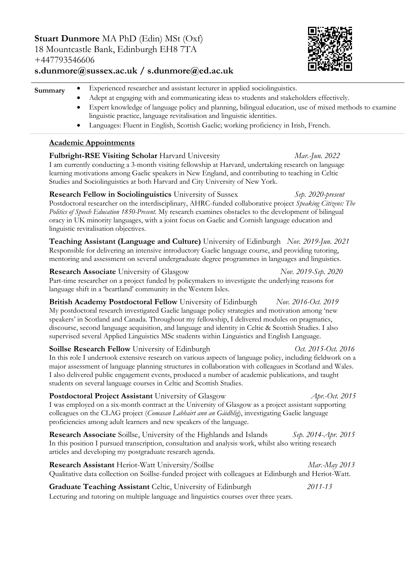**Stuart Dunmore** MA PhD (Edin) MSt (Oxf) 18 Mountcastle Bank, Edinburgh EH8 7TA +447793546606



# **s.dunmore@sussex.ac.uk / s.dunmore@ed.ac.uk**

| Summary | Experienced researcher and assistant lecturer in applied sociolinguistics.                             |
|---------|--------------------------------------------------------------------------------------------------------|
|         | Adept at engaging with and communicating ideas to students and stakeholders effectively.               |
|         | Expert knowledge of language policy and planning, bilingual education, use of mixed methods to examine |

linguistic practice, language revitalisation and linguistic identities. Languages: Fluent in English, Scottish Gaelic; working proficiency in Irish, French.

## **Academic Appointments**

**Fulbright-RSE Visiting Scholar** Harvard University *Mar.-Jun. 2022* I am currently conducting a 3-month visiting fellowship at Harvard, undertaking research on language learning motivations among Gaelic speakers in New England, and contributing to teaching in Celtic Studies and Sociolinguistics at both Harvard and City University of New York. **Research Fellow in Sociolinguistics** University of Sussex *Sep. 2020-present* Postdoctoral researcher on the interdisciplinary, AHRC-funded collaborative project *Speaking Citizens: The Politics of Speech Education 1850-Present*. My research examines obstacles to the development of bilingual oracy in UK minority languages, with a joint focus on Gaelic and Cornish language education and

linguistic revitalisation objectives. **Teaching Assistant (Language and Culture)** University of Edinburgh *Nov. 2019-Jun. 2021* Responsible for delivering an intensive introductory Gaelic language course, and providing tutoring, mentoring and assessment on several undergraduate degree programmes in languages and linguistics.

**Research Associate** University of Glasgow *Nov. 2019-Sep. 2020* Part-time researcher on a project funded by policymakers to investigate the underlying reasons for language shift in a 'heartland' community in the Western Isles.

**British Academy Postdoctoral Fellow** University of Edinburgh *Nov. 2016-Oct. 2019* My postdoctoral research investigated Gaelic language policy strategies and motivation among 'new speakers' in Scotland and Canada. Throughout my fellowship, I delivered modules on pragmatics, discourse, second language acquisition, and language and identity in Celtic & Scottish Studies. I also supervised several Applied Linguistics MSc students within Linguistics and English Language.

**Soillse Research Fellow** University of Edinburgh *Oct. 2015-Oct. 2016* In this role I undertook extensive research on various aspects of language policy, including fieldwork on a major assessment of language planning structures in collaboration with colleagues in Scotland and Wales. I also delivered public engagement events, produced a number of academic publications, and taught students on several language courses in Celtic and Scottish Studies.

**Postdoctoral Project Assistant** University of Glasgow *Apr.-Oct. 2015*  I was employed on a six-month contract at the University of Glasgow as a project assistant supporting colleagues on the CLAG project (*Comasan Labhairt ann an Gàidhlig*), investigating Gaelic language proficiencies among adult learners and new speakers of the language.

**Research Associate** Soillse, University of the Highlands and Islands *Sep. 2014-Apr. 2015*  In this position I pursued transcription, consultation and analysis work, whilst also writing research articles and developing my postgraduate research agenda.

**Research Assistant** Heriot-Watt University/Soillse *Mar.-May 2013*  Qualitative data collection on Soillse-funded project with colleagues at Edinburgh and Heriot-Watt. **Graduate Teaching Assistant** Celtic, University of Edinburgh *2011-13*

Lecturing and tutoring on multiple language and linguistics courses over three years.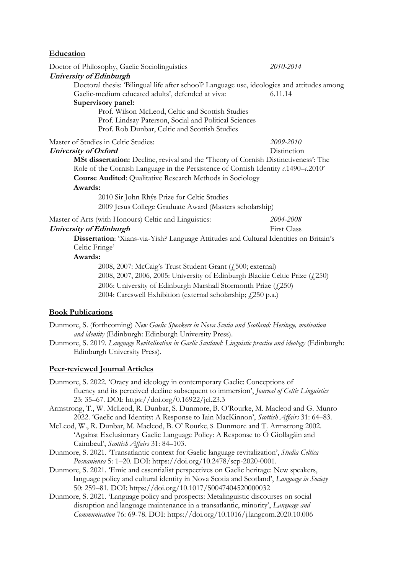| Education                                                                                                                                                                                  |                                                           |  |  |
|--------------------------------------------------------------------------------------------------------------------------------------------------------------------------------------------|-----------------------------------------------------------|--|--|
| Doctor of Philosophy, Gaelic Sociolinguistics                                                                                                                                              | 2010-2014                                                 |  |  |
| <b>University of Edinburgh</b>                                                                                                                                                             |                                                           |  |  |
| Doctoral thesis: 'Bilingual life after school? Language use, ideologies and attitudes among                                                                                                |                                                           |  |  |
| Gaelic-medium educated adults', defended at viva:                                                                                                                                          | 6.11.14                                                   |  |  |
| Supervisory panel:                                                                                                                                                                         |                                                           |  |  |
| Prof. Wilson McLeod, Celtic and Scottish Studies                                                                                                                                           |                                                           |  |  |
| Prof. Lindsay Paterson, Social and Political Sciences                                                                                                                                      |                                                           |  |  |
| Prof. Rob Dunbar, Celtic and Scottish Studies                                                                                                                                              |                                                           |  |  |
| Master of Studies in Celtic Studies:                                                                                                                                                       | 2009-2010                                                 |  |  |
| University of Oxford                                                                                                                                                                       | Distinction                                               |  |  |
| MSt dissertation: Decline, revival and the 'Theory of Cornish Distinctiveness': The<br>Role of the Cornish Language in the Persistence of Cornish Identity $\iota$ . 1490- $\iota$ . 2010' |                                                           |  |  |
| <b>Course Audited:</b> Qualitative Research Methods in Sociology                                                                                                                           |                                                           |  |  |
| Awards:                                                                                                                                                                                    |                                                           |  |  |
| 2010 Sir John Rhŷs Prize for Celtic Studies                                                                                                                                                |                                                           |  |  |
| 2009 Jesus College Graduate Award (Masters scholarship)                                                                                                                                    |                                                           |  |  |
| Master of Arts (with Honours) Celtic and Linguistics:                                                                                                                                      | 2004-2008                                                 |  |  |
| University of Edinburgh                                                                                                                                                                    | First Class                                               |  |  |
| <b>Dissertation:</b> 'Xians-via-Yish? Language Attitudes and Cultural Identities on Britain's<br>Celtic Fringe'                                                                            |                                                           |  |  |
| Awards:                                                                                                                                                                                    |                                                           |  |  |
|                                                                                                                                                                                            | 2008, 2007: McCaig's Trust Student Grant (£500; external) |  |  |
| 2008, 2007, 2006, 2005: University of Edinburgh Blackie Celtic Prize (£250)                                                                                                                |                                                           |  |  |
| 2006: University of Edinburgh Marshall Stormonth Prize (£250)                                                                                                                              |                                                           |  |  |

2004: Careswell Exhibition (external scholarship;  $f(250 p.a.)$ 

## **Book Publications**

Dunmore, S. (forthcoming) *New Gaelic Speakers in Nova Scotia and Scotland: Heritage, motivation and identity* (Edinburgh: Edinburgh University Press).

Dunmore, S. 2019. *Language Revitalisation in Gaelic Scotland: Linguistic practice and ideology* (Edinburgh: Edinburgh University Press).

#### **Peer-reviewed Journal Articles**

Dunmore, S. 2022. 'Oracy and ideology in contemporary Gaelic: Conceptions of fluency and its perceived decline subsequent to immersion', *Journal of Celtic Linguistics* 23: 35–67. DOI: https://doi.org/0.16922/jcl.23.3

Armstrong, T., W. McLeod, R. Dunbar, S. Dunmore, B. O'Rourke, M. Macleod and G. Munro 2022. 'Gaelic and Identity: A Response to Iain MacKinnon', *Scottish Affairs* 31: 64–83.

- McLeod, W., R. Dunbar, M. Macleod, B. O' Rourke, S. Dunmore and T. Armstrong 2002. 'Against Exclusionary Gaelic Language Policy: A Response to Ó Giollagáin and Caimbeul', *Scottish Affairs* 31: 84–103.
- Dunmore, S. 2021. 'Transatlantic context for Gaelic language revitalization', *Studia Celtica Posnaniensa* 5: 1–20*.* DOI: https://doi.org/10.2478/scp-2020-0001.
- Dunmore, S. 2021. 'Emic and essentialist perspectives on Gaelic heritage: New speakers, language policy and cultural identity in Nova Scotia and Scotland', *Language in Society* 50: 259–81*.* DOI: https://doi.org/10.1017/S0047404520000032
- Dunmore, S. 2021. 'Language policy and prospects: Metalinguistic discourses on social disruption and language maintenance in a transatlantic, minority', *Language and Communication* 76: 69-78. DOI: https://doi.org/10.1016/j.langcom.2020.10.006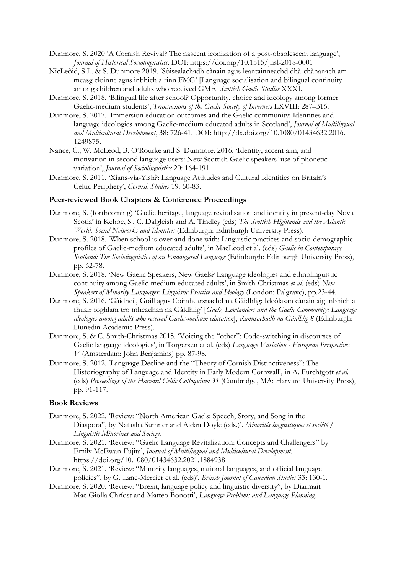- Dunmore, S. 2020 'A Cornish Revival? The nascent iconization of a post-obsolescent language', *Journal of Historical Sociolinguistics.* DOI: https://doi.org/10.1515/jhsl-2018-0001
- NicLeòid, S.L. & S. Dunmore 2019. 'Sòisealachadh cànain agus leantainneachd dhà-chànanach am measg cloinne agus inbhich a rinn FMG' [Language socialisation and bilingual continuity among children and adults who received GME] *Scottish Gaelic Studies* XXXI.
- Dunmore, S. 2018. 'Bilingual life after school? Opportunity, choice and ideology among former Gaelic-medium students', *Transactions of the Gaelic Society of Inverness* LXVIII: 287–316.
- Dunmore, S. 2017. 'Immersion education outcomes and the Gaelic community: Identities and language ideologies among Gaelic-medium educated adults in Scotland', *Journal of Multilingual and Multicultural Development*, 38: 726-41. DOI: http://dx.doi.org/10.1080/01434632.2016. 1249875.
- Nance, C., W. McLeod, B. O'Rourke and S. Dunmore. 2016. 'Identity, accent aim, and motivation in second language users: New Scottish Gaelic speakers' use of phonetic variation', *Journal of Sociolinguistics* 20: 164-191.
- Dunmore, S. 2011. 'Xians-via-Yish?: Language Attitudes and Cultural Identities on Britain's Celtic Periphery', *Cornish Studies* 19: 60-83.

#### **Peer-reviewed Book Chapters & Conference Proceedings**

- Dunmore, S. (forthcoming) 'Gaelic heritage, language revitalisation and identity in present-day Nova Scotia' in Kehoe, S., C. Dalgleish and A. Tindley (eds) *The Scottish Highlands and the Atlantic World: Social Networks and Identities* (Edinburgh: Edinburgh University Press).
- Dunmore, S. 2018. 'When school is over and done with: Linguistic practices and socio-demographic profiles of Gaelic-medium educated adults', in MacLeod et al. (eds) *Gaelic in Contemporary Scotland: The Sociolinguistics of an Endangered Language* (Edinburgh: Edinburgh University Press), pp. 62-78.
- Dunmore, S. 2018. 'New Gaelic Speakers, New Gaels? Language ideologies and ethnolinguistic continuity among Gaelic-medium educated adults', in Smith-Christmas *et al*. (eds) *New Speakers of Minority Languages: Linguistic Practice and Ideology* (London: Palgrave), pp.23-44.
- Dunmore, S. 2016. 'Gàidheil, Goill agus Coimhearsnachd na Gàidhlig: Ideòlasan cànain aig inbhich a fhuair foghlam tro mheadhan na Gàidhlig' [*Gaels, Lowlanders and the Gaelic Community: Language ideologies among adults who received Gaelic-medium education*], *Rannsachadh na Gàidhlig 8* (Edinburgh: Dunedin Academic Press).
- Dunmore, S. & C. Smith-Christmas 2015. 'Voicing the "other": Code-switching in discourses of Gaelic language ideologies', in Torgersen et al*.* (eds) *Language Variation - European Perspectives V* (Amsterdam: John Benjamins) pp. 87-98.
- Dunmore, S. 2012. 'Language Decline and the "Theory of Cornish Distinctiveness": The Historiography of Language and Identity in Early Modern Cornwall', in A. Furchtgott *et al.* (eds) *Proceedings of the Harvard Celtic Colloquium 31* (Cambridge, MA: Harvard University Press), pp. 91-117.

### **Book Reviews**

- Dunmore, S. 2022. 'Review: "North American Gaels: Speech, Story, and Song in the Diaspora", by Natasha Sumner and Aidan Doyle (eds.)'. *Minorités linguistiques et société / Linguistic Minorities and Society.*
- Dunmore, S. 2021. 'Review: "Gaelic Language Revitalization: Concepts and Challengers" by Emily McEwan-Fujita', *Journal of Multilingual and Multicultural Development.*  https://doi.org/10.1080/01434632.2021.1884938
- Dunmore, S. 2021. 'Review: "Minority languages, national languages, and official language policies", by G. Lane-Mercier et al. (eds)', *British Journal of Canadian Studies* 33: 130-1.
- Dunmore, S. 2020. 'Review: "Brexit, language policy and linguistic diversity", by Diarmait Mac Giolla Chríost and Matteo Bonotti', *Language Problems and Language Planning*.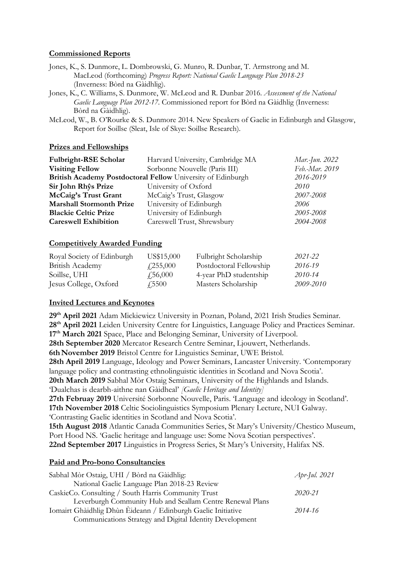### **Commissioned Reports**

Jones, K., S. Dunmore, L. Dombrowski, G. Munro, R. Dunbar, T. Armstrong and M. MacLeod (forthcoming) *Progress Report: National Gaelic Language Plan 2018-23*  (Inverness: Bòrd na Gàidhlig).

Jones, K., C. Williams, S. Dunmore, W. McLeod and R. Dunbar 2016. *Assessment of the National Gaelic Language Plan 2012-17*. Commissioned report for Bòrd na Gàidhlig (Inverness: Bòrd na Gàidhlig).

McLeod, W., B. O'Rourke & S. Dunmore 2014. New Speakers of Gaelic in Edinburgh and Glasgow, Report for Soillse (Sleat, Isle of Skye: Soillse Research).

#### **Prizes and Fellowships**

| Fulbright-RSE Scholar                                                    | Harvard University, Cambridge MA | Mar.-Jun. 2022 |  |  |
|--------------------------------------------------------------------------|----------------------------------|----------------|--|--|
| <b>Visiting Fellow</b>                                                   | Sorbonne Nouvelle (Paris III)    | Feb.-Mar. 2019 |  |  |
| British Academy Postdoctoral Fellow University of Edinburgh<br>2016-2019 |                                  |                |  |  |
| Sir John Rhŷs Prize                                                      | University of Oxford             | 2010           |  |  |
| McCaig's Trust Grant                                                     | McCaig's Trust, Glasgow          | 2007-2008      |  |  |
| <b>Marshall Stormonth Prize</b>                                          | University of Edinburgh          | 2006           |  |  |
| <b>Blackie Celtic Prize</b>                                              | University of Edinburgh          | 2005-2008      |  |  |
| <b>Careswell Exhibition</b>                                              | Careswell Trust, Shrewsbury      | 2004-2008      |  |  |

## **Competitively Awarded Funding**

| Royal Society of Edinburgh | US\$15,000       | Fulbright Scholarship   | 2021-22   |
|----------------------------|------------------|-------------------------|-----------|
| British Academy            | $\angle 255,000$ | Postdoctoral Fellowship | 2016-19   |
| Soillse, UHI               | $\sqrt{.56,000}$ | 4-year PhD studentship  | 2010-14   |
| Jesus College, Oxford      | <i>√</i> 5500    | Masters Scholarship     | 2009-2010 |

## **Invited Lectures and Keynotes**

**29th April 2021** Adam Mickiewicz University in Poznan, Poland, 2021 Irish Studies Seminar. **28th April 2021** Leiden University Centre for Linguistics, Language Policy and Practices Seminar. **17th March 2021** Space, Place and Belonging Seminar, University of Liverpool. **28th September 2020** Mercator Research Centre Seminar, Ljouwert, Netherlands. **6th November 2019** Bristol Centre for Linguistics Seminar, UWE Bristol. **28th April 2019** Language, Ideology and Power Seminars, Lancaster University. 'Contemporary language policy and contrasting ethnolinguistic identities in Scotland and Nova Scotia'. **20th March 2019** Sabhal Mòr Ostaig Seminars, University of the Highlands and Islands. 'Dualchas is dearbh-aithne nan Gàidheal' *[Gaelic Heritage and Identity]* **27th Februay 2019** Université Sorbonne Nouvelle, Paris. 'Language and ideology in Scotland'. **17th November 2018** Celtic Sociolinguistics Symposium Plenary Lecture, NUI Galway. 'Contrasting Gaelic identities in Scotland and Nova Scotia'. **15th August 2018** Atlantic Canada Communities Series, St Mary's University/Chestico Museum, Port Hood NS. 'Gaelic heritage and language use: Some Nova Scotian perspectives'. **22nd September 2017** Linguistics in Progress Series, St Mary's University, Halifax NS.

## **Paid and Pro-bono Consultancies**

| Sabhal Mòr Ostaig, UHI / Bòrd na Gàidhlig:                   | Apr-Jul. 2021 |
|--------------------------------------------------------------|---------------|
| National Gaelic Language Plan 2018-23 Review                 |               |
| CaskieCo. Consulting / South Harris Community Trust          | 2020-21       |
| Leverburgh Community Hub and Seallam Centre Renewal Plans    |               |
| Iomairt Ghàidhlig Dhùn Èideann / Edinburgh Gaelic Initiative | 2014-16       |
| Communications Strategy and Digital Identity Development     |               |